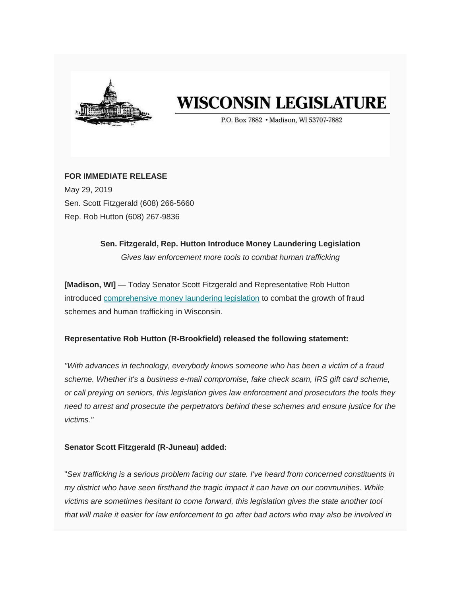

# **WISCONSIN LEGISLATURE**

P.O. Box 7882 . Madison, WI 53707-7882

# **FOR IMMEDIATE RELEASE**

May 29, 2019 Sen. Scott Fitzgerald (608) 266-5660 Rep. Rob Hutton (608) 267-9836

# **Sen. Fitzgerald, Rep. Hutton Introduce Money Laundering Legislation**

*Gives law enforcement more tools to combat human trafficking*

**[Madison, WI]** — Today Senator Scott Fitzgerald and Representative Rob Hutton introduced [comprehensive money laundering legislation](https://wisconsin.us19.list-manage.com/track/click?u=d6af7ae29b3be71ca1f5bd1f7&id=c0428f8366&e=9e17a0a5be) to combat the growth of fraud schemes and human trafficking in Wisconsin.

# **Representative Rob Hutton (R-Brookfield) released the following statement:**

*"With advances in technology, everybody knows someone who has been a victim of a fraud scheme. Whether it's a business e-mail compromise, fake check scam, IRS gift card scheme, or call preying on seniors, this legislation gives law enforcement and prosecutors the tools they need to arrest and prosecute the perpetrators behind these schemes and ensure justice for the victims."*

# **Senator Scott Fitzgerald (R-Juneau) added:**

"*Sex trafficking is a serious problem facing our state. I've heard from concerned constituents in my district who have seen firsthand the tragic impact it can have on our communities. While victims are sometimes hesitant to come forward, this legislation gives the state another tool that will make it easier for law enforcement to go after bad actors who may also be involved in*